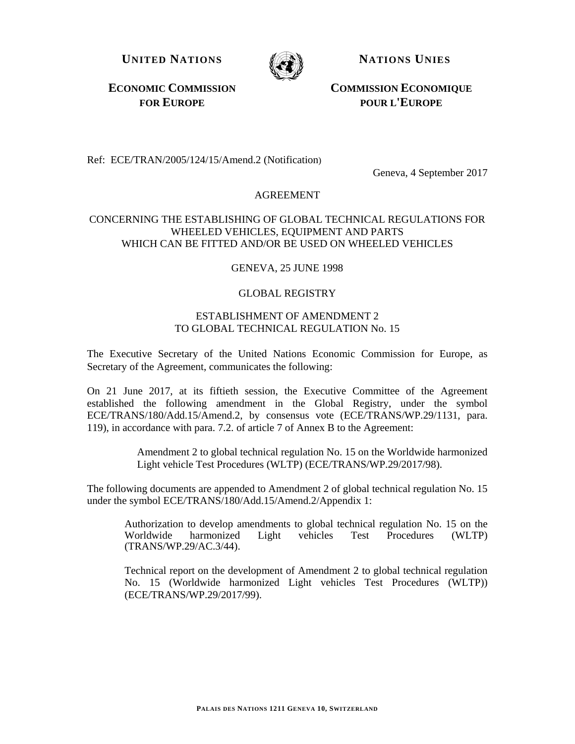**UNITED NATIONS NATIONS UNIES**



**ECONOMIC COMMISSION FOR EUROPE**

**COMMISSION ECONOMIQUE POUR L'EUROPE**

Ref: ECE/TRAN/2005/124/15/Amend.2 (Notification)

Geneva, 4 September 2017

## AGREEMENT

#### CONCERNING THE ESTABLISHING OF GLOBAL TECHNICAL REGULATIONS FOR WHEELED VEHICLES, EQUIPMENT AND PARTS WHICH CAN BE FITTED AND/OR BE USED ON WHEELED VEHICLES

# GENEVA, 25 JUNE 1998

## GLOBAL REGISTRY

# ESTABLISHMENT OF AMENDMENT 2 TO GLOBAL TECHNICAL REGULATION No. 15

The Executive Secretary of the United Nations Economic Commission for Europe, as Secretary of the Agreement, communicates the following:

On 21 June 2017, at its fiftieth session, the Executive Committee of the Agreement established the following amendment in the Global Registry, under the symbol ECE/TRANS/180/Add.15/Amend.2, by consensus vote (ECE/TRANS/WP.29/1131, para. 119), in accordance with para. 7.2. of article 7 of Annex B to the Agreement:

> Amendment 2 to global technical regulation No. 15 on the Worldwide harmonized Light vehicle Test Procedures (WLTP) (ECE/TRANS/WP.29/2017/98).

The following documents are appended to Amendment 2 of global technical regulation No. 15 under the symbol ECE/TRANS/180/Add.15/Amend.2/Appendix 1:

Authorization to develop amendments to global technical regulation No. 15 on the Worldwide harmonized Light vehicles Test Procedures (WLTP) (TRANS/WP.29/AC.3/44).

Technical report on the development of Amendment 2 to global technical regulation No. 15 (Worldwide harmonized Light vehicles Test Procedures (WLTP)) (ECE/TRANS/WP.29/2017/99).